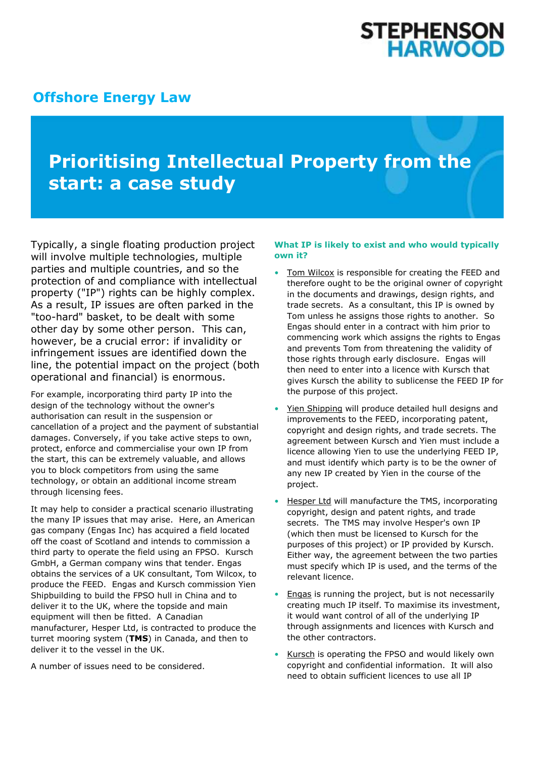# **STEPHENSON<br>HARWOOD**

### **[Offshore Energy Law](http://www.offshoreenergylaw.com/)**

## **Prioritising Intellectual Property from the start: a case study**

Typically, a single floating production project will involve multiple technologies, multiple parties and multiple countries, and so the protection of and compliance with intellectual property ("IP") rights can be highly complex. As a result, IP issues are often parked in the "too-hard" basket, to be dealt with some other day by some other person. This can, however, be a crucial error: if invalidity or infringement issues are identified down the line, the potential impact on the project (both operational and financial) is enormous.

For example, incorporating third party IP into the design of the technology without the owner's authorisation can result in the suspension or cancellation of a project and the payment of substantial damages. Conversely, if you take active steps to own, protect, enforce and commercialise your own IP from the start, this can be extremely valuable, and allows you to block competitors from using the same technology, or obtain an additional income stream through licensing fees.

It may help to consider a practical scenario illustrating the many IP issues that may arise. Here, an American gas company (Engas Inc) has acquired a field located off the coast of Scotland and intends to commission a third party to operate the field using an FPSO. Kursch GmbH, a German company wins that tender. Engas obtains the services of a UK consultant, Tom Wilcox, to produce the FEED. Engas and Kursch commission Yien Shipbuilding to build the FPSO hull in China and to deliver it to the UK, where the topside and main equipment will then be fitted. A Canadian manufacturer, Hesper Ltd, is contracted to produce the turret mooring system (**TMS**) in Canada, and then to deliver it to the vessel in the UK.

A number of issues need to be considered.

#### **What IP is likely to exist and who would typically own it?**

- Tom Wilcox is responsible for creating the FEED and therefore ought to be the original owner of copyright in the documents and drawings, design rights, and trade secrets. As a consultant, this IP is owned by Tom unless he assigns those rights to another. So Engas should enter in a contract with him prior to commencing work which assigns the rights to Engas and prevents Tom from threatening the validity of those rights through early disclosure. Engas will then need to enter into a licence with Kursch that gives Kursch the ability to sublicense the FEED IP for the purpose of this project.
- Yien Shipping will produce detailed hull designs and improvements to the FEED, incorporating patent, copyright and design rights, and trade secrets. The agreement between Kursch and Yien must include a licence allowing Yien to use the underlying FEED IP, and must identify which party is to be the owner of any new IP created by Yien in the course of the project.
- Hesper Ltd will manufacture the TMS, incorporating copyright, design and patent rights, and trade secrets. The TMS may involve Hesper's own IP (which then must be licensed to Kursch for the purposes of this project) or IP provided by Kursch. Either way, the agreement between the two parties must specify which IP is used, and the terms of the relevant licence.
- Engas is running the project, but is not necessarily creating much IP itself. To maximise its investment, it would want control of all of the underlying IP through assignments and licences with Kursch and the other contractors.
- Kursch is operating the FPSO and would likely own copyright and confidential information. It will also need to obtain sufficient licences to use all IP